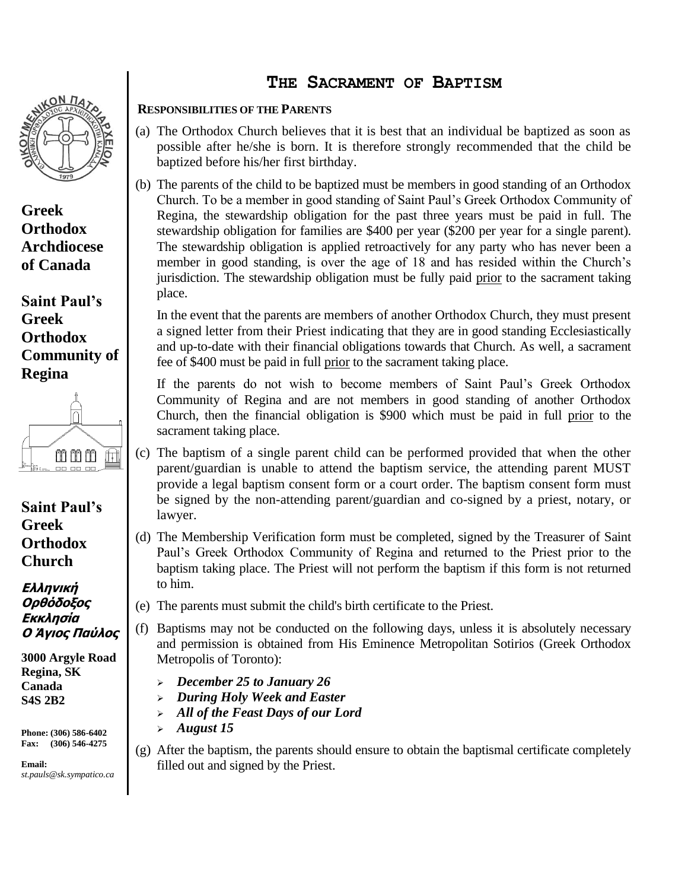

**Greek Orthodox Archdiocese of Canada**

**Saint Paul's Greek Orthodox Community of Regina** 



**Saint Paul's Greek Orthodox Church**

**Ελληνική Ορθόδοξος Εκκλησία Ο Άγιος Παύλος**

**3000 Argyle Road Regina, SK Canada S4S 2B2**

**Phone: (306) 586-6402 Fax: (306) 546-4275**

**Email:**  *st.pauls@sk.sympatico.ca*

## **THE SACRAMENT OF BAPTISM**

## **RESPONSIBILITIES OF THE PARENTS**

- (a) The Orthodox Church believes that it is best that an individual be baptized as soon as possible after he/she is born. It is therefore strongly recommended that the child be baptized before his/her first birthday.
- (b) The parents of the child to be baptized must be members in good standing of an Orthodox Church. To be a member in good standing of Saint Paul's Greek Orthodox Community of Regina, the stewardship obligation for the past three years must be paid in full. The stewardship obligation for families are \$400 per year (\$200 per year for a single parent). The stewardship obligation is applied retroactively for any party who has never been a member in good standing, is over the age of 18 and has resided within the Church's jurisdiction. The stewardship obligation must be fully paid prior to the sacrament taking place.

In the event that the parents are members of another Orthodox Church, they must present a signed letter from their Priest indicating that they are in good standing Ecclesiastically and up-to-date with their financial obligations towards that Church. As well, a sacrament fee of \$400 must be paid in full prior to the sacrament taking place.

If the parents do not wish to become members of Saint Paul's Greek Orthodox Community of Regina and are not members in good standing of another Orthodox Church, then the financial obligation is \$900 which must be paid in full prior to the sacrament taking place.

- (c) The baptism of a single parent child can be performed provided that when the other parent/guardian is unable to attend the baptism service, the attending parent MUST provide a legal baptism consent form or a court order. The baptism consent form must be signed by the non-attending parent/guardian and co-signed by a priest, notary, or lawyer.
- (d) The Membership Verification form must be completed, signed by the Treasurer of Saint Paul's Greek Orthodox Community of Regina and returned to the Priest prior to the baptism taking place. The Priest will not perform the baptism if this form is not returned to him.
- (e) The parents must submit the child's birth certificate to the Priest.
- (f) Baptisms may not be conducted on the following days, unless it is absolutely necessary and permission is obtained from His Eminence Metropolitan Sotirios (Greek Orthodox Metropolis of Toronto):
	- ➢ *December 25 to January 26*
	- ➢ *During Holy Week and Easter*
	- ➢ *All of the Feast Days of our Lord*
	- ➢ *August 15*
- (g) After the baptism, the parents should ensure to obtain the baptismal certificate completely filled out and signed by the Priest.